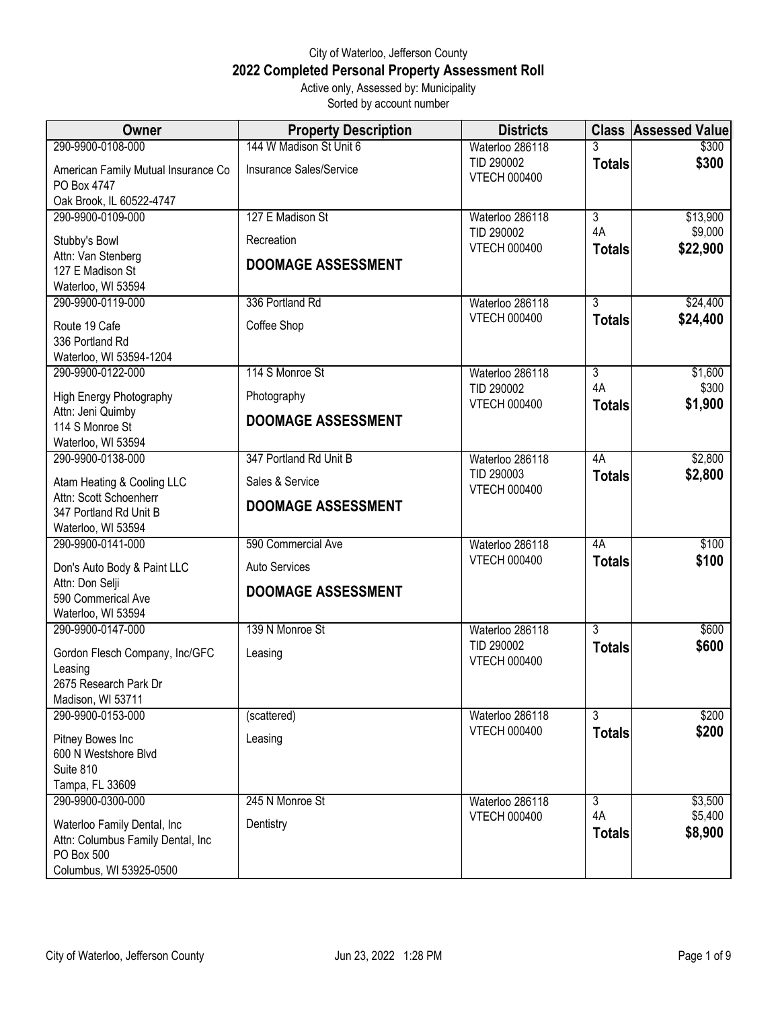## City of Waterloo, Jefferson County **2022 Completed Personal Property Assessment Roll** Active only, Assessed by: Municipality

Sorted by account number

| Owner                                                            | <b>Property Description</b> | <b>Districts</b>                  | <b>Class</b>         | <b>Assessed Value</b> |
|------------------------------------------------------------------|-----------------------------|-----------------------------------|----------------------|-----------------------|
| 290-9900-0108-000                                                | 144 W Madison St Unit 6     | Waterloo 286118                   | 3                    | \$300                 |
| American Family Mutual Insurance Co<br>PO Box 4747               | Insurance Sales/Service     | TID 290002<br><b>VTECH 000400</b> | <b>Totals</b>        | \$300                 |
| Oak Brook, IL 60522-4747                                         |                             |                                   |                      |                       |
| 290-9900-0109-000                                                | 127 E Madison St            | Waterloo 286118                   | 3                    | \$13,900              |
| Stubby's Bowl                                                    | Recreation                  | TID 290002                        | 4A                   | \$9,000               |
| Attn: Van Stenberg                                               |                             | <b>VTECH 000400</b>               | <b>Totals</b>        | \$22,900              |
| 127 E Madison St                                                 | <b>DOOMAGE ASSESSMENT</b>   |                                   |                      |                       |
| Waterloo, WI 53594                                               |                             |                                   |                      |                       |
| 290-9900-0119-000                                                | 336 Portland Rd             | Waterloo 286118                   | $\overline{3}$       | \$24,400              |
| Route 19 Cafe                                                    | Coffee Shop                 | <b>VTECH 000400</b>               | <b>Totals</b>        | \$24,400              |
| 336 Portland Rd                                                  |                             |                                   |                      |                       |
| Waterloo, WI 53594-1204                                          |                             |                                   |                      |                       |
| 290-9900-0122-000                                                | 114 S Monroe St             | Waterloo 286118<br>TID 290002     | $\overline{3}$<br>4A | \$1,600<br>\$300      |
| High Energy Photography                                          | Photography                 | <b>VTECH 000400</b>               | <b>Totals</b>        | \$1,900               |
| Attn: Jeni Quimby                                                | <b>DOOMAGE ASSESSMENT</b>   |                                   |                      |                       |
| 114 S Monroe St<br>Waterloo, WI 53594                            |                             |                                   |                      |                       |
| 290-9900-0138-000                                                | 347 Portland Rd Unit B      | Waterloo 286118                   | 4A                   | \$2,800               |
|                                                                  |                             | TID 290003                        | <b>Totals</b>        | \$2,800               |
| Atam Heating & Cooling LLC<br>Attn: Scott Schoenherr             | Sales & Service             | <b>VTECH 000400</b>               |                      |                       |
| 347 Portland Rd Unit B                                           | <b>DOOMAGE ASSESSMENT</b>   |                                   |                      |                       |
| Waterloo, WI 53594                                               |                             |                                   |                      |                       |
| 290-9900-0141-000                                                | 590 Commercial Ave          | Waterloo 286118                   | 4A                   | \$100                 |
| Don's Auto Body & Paint LLC                                      | <b>Auto Services</b>        | <b>VTECH 000400</b>               | <b>Totals</b>        | \$100                 |
| Attn: Don Selji                                                  |                             |                                   |                      |                       |
| 590 Commerical Ave                                               | <b>DOOMAGE ASSESSMENT</b>   |                                   |                      |                       |
| Waterloo, WI 53594                                               |                             |                                   |                      |                       |
| 290-9900-0147-000                                                | 139 N Monroe St             | Waterloo 286118                   | $\overline{3}$       | \$600                 |
| Gordon Flesch Company, Inc/GFC                                   | Leasing                     | TID 290002<br><b>VTECH 000400</b> | <b>Totals</b>        | \$600                 |
| Leasing                                                          |                             |                                   |                      |                       |
| 2675 Research Park Dr                                            |                             |                                   |                      |                       |
| Madison, WI 53711<br>290-9900-0153-000                           | (scattered)                 | Waterloo 286118                   | $\overline{3}$       | \$200                 |
|                                                                  |                             | <b>VTECH 000400</b>               | <b>Totals</b>        | \$200                 |
| Pitney Bowes Inc                                                 | Leasing                     |                                   |                      |                       |
| 600 N Westshore Blvd<br>Suite 810                                |                             |                                   |                      |                       |
| Tampa, FL 33609                                                  |                             |                                   |                      |                       |
| 290-9900-0300-000                                                | 245 N Monroe St             | Waterloo 286118                   | 3                    | \$3,500               |
|                                                                  | Dentistry                   | <b>VTECH 000400</b>               | 4A                   | \$5,400               |
| Waterloo Family Dental, Inc<br>Attn: Columbus Family Dental, Inc |                             |                                   | <b>Totals</b>        | \$8,900               |
| PO Box 500                                                       |                             |                                   |                      |                       |
| Columbus, WI 53925-0500                                          |                             |                                   |                      |                       |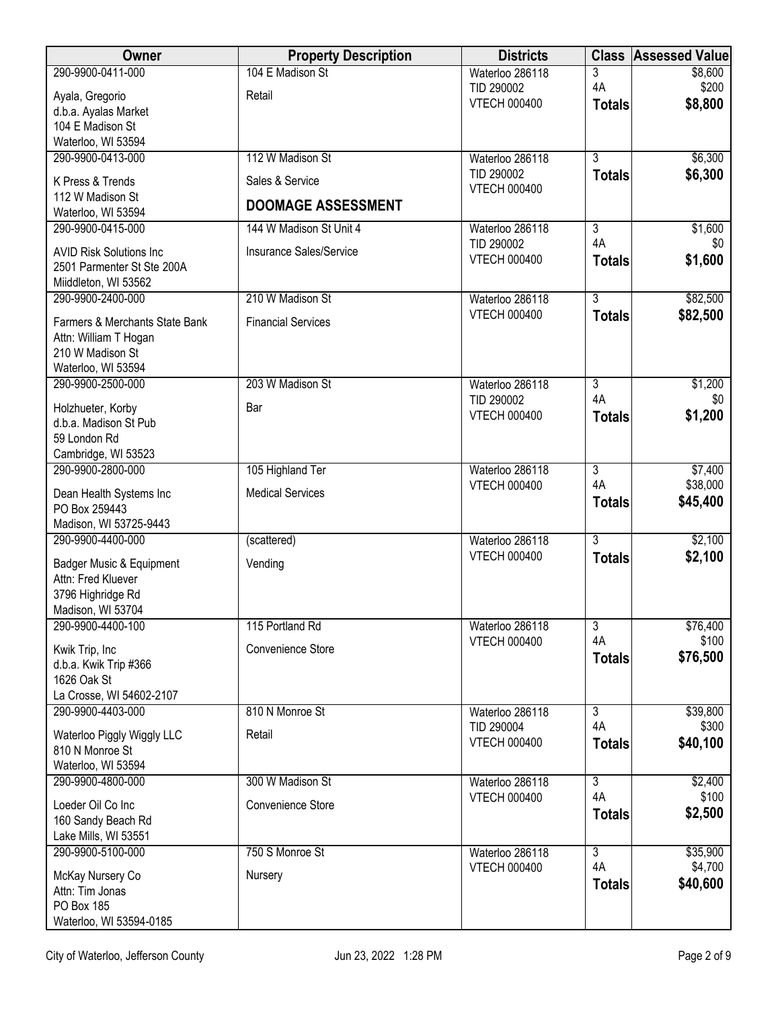| Owner                                      | <b>Property Description</b> | <b>Districts</b>                  | <b>Class</b>        | <b>Assessed Value</b> |
|--------------------------------------------|-----------------------------|-----------------------------------|---------------------|-----------------------|
| 290-9900-0411-000                          | 104 E Madison St            | Waterloo 286118                   | 3                   | \$8,600               |
| Ayala, Gregorio                            | Retail                      | TID 290002<br><b>VTECH 000400</b> | 4A<br><b>Totals</b> | \$200<br>\$8,800      |
| d.b.a. Ayalas Market                       |                             |                                   |                     |                       |
| 104 E Madison St<br>Waterloo, WI 53594     |                             |                                   |                     |                       |
| 290-9900-0413-000                          | 112 W Madison St            | Waterloo 286118                   | $\overline{3}$      | \$6,300               |
|                                            |                             | TID 290002                        | <b>Totals</b>       | \$6,300               |
| K Press & Trends<br>112 W Madison St       | Sales & Service             | <b>VTECH 000400</b>               |                     |                       |
| Waterloo, WI 53594                         | <b>DOOMAGE ASSESSMENT</b>   |                                   |                     |                       |
| 290-9900-0415-000                          | 144 W Madison St Unit 4     | Waterloo 286118                   | 3                   | \$1,600               |
| <b>AVID Risk Solutions Inc.</b>            | Insurance Sales/Service     | TID 290002                        | 4A                  | \$0                   |
| 2501 Parmenter St Ste 200A                 |                             | <b>VTECH 000400</b>               | <b>Totals</b>       | \$1,600               |
| Miiddleton, WI 53562                       |                             |                                   |                     |                       |
| 290-9900-2400-000                          | 210 W Madison St            | Waterloo 286118                   | $\overline{3}$      | \$82,500              |
| Farmers & Merchants State Bank             | <b>Financial Services</b>   | <b>VTECH 000400</b>               | <b>Totals</b>       | \$82,500              |
| Attn: William T Hogan                      |                             |                                   |                     |                       |
| 210 W Madison St                           |                             |                                   |                     |                       |
| Waterloo, WI 53594<br>290-9900-2500-000    | 203 W Madison St            | Waterloo 286118                   | $\overline{3}$      | \$1,200               |
|                                            |                             | TID 290002                        | 4A                  | \$0                   |
| Holzhueter, Korby                          | Bar                         | <b>VTECH 000400</b>               | <b>Totals</b>       | \$1,200               |
| d.b.a. Madison St Pub<br>59 London Rd      |                             |                                   |                     |                       |
| Cambridge, WI 53523                        |                             |                                   |                     |                       |
| 290-9900-2800-000                          | 105 Highland Ter            | Waterloo 286118                   | $\overline{3}$      | \$7,400               |
| Dean Health Systems Inc                    | <b>Medical Services</b>     | <b>VTECH 000400</b>               | 4A                  | \$38,000              |
| PO Box 259443                              |                             |                                   | <b>Totals</b>       | \$45,400              |
| Madison, WI 53725-9443                     |                             |                                   |                     |                       |
| 290-9900-4400-000                          | (scattered)                 | Waterloo 286118                   | $\overline{3}$      | \$2,100               |
| Badger Music & Equipment                   | Vending                     | <b>VTECH 000400</b>               | <b>Totals</b>       | \$2,100               |
| Attn: Fred Kluever                         |                             |                                   |                     |                       |
| 3796 Highridge Rd<br>Madison, WI 53704     |                             |                                   |                     |                       |
| 290-9900-4400-100                          | 115 Portland Rd             | Waterloo 286118                   | 3                   | \$76,400              |
|                                            | Convenience Store           | <b>VTECH 000400</b>               | 4A                  | \$100                 |
| Kwik Trip, Inc<br>d.b.a. Kwik Trip #366    |                             |                                   | <b>Totals</b>       | \$76,500              |
| 1626 Oak St                                |                             |                                   |                     |                       |
| La Crosse, WI 54602-2107                   |                             |                                   |                     |                       |
| 290-9900-4403-000                          | 810 N Monroe St             | Waterloo 286118                   | $\overline{3}$      | \$39,800              |
| Waterloo Piggly Wiggly LLC                 | Retail                      | TID 290004<br><b>VTECH 000400</b> | 4A<br><b>Totals</b> | \$300<br>\$40,100     |
| 810 N Monroe St                            |                             |                                   |                     |                       |
| Waterloo, WI 53594                         | 300 W Madison St            | Waterloo 286118                   | $\overline{3}$      |                       |
| 290-9900-4800-000                          |                             | <b>VTECH 000400</b>               | 4A                  | \$2,400<br>\$100      |
| Loeder Oil Co Inc                          | Convenience Store           |                                   | <b>Totals</b>       | \$2,500               |
| 160 Sandy Beach Rd<br>Lake Mills, WI 53551 |                             |                                   |                     |                       |
| 290-9900-5100-000                          | 750 S Monroe St             | Waterloo 286118                   | $\overline{3}$      | \$35,900              |
|                                            |                             | <b>VTECH 000400</b>               | 4A                  | \$4,700               |
| McKay Nursery Co<br>Attn: Tim Jonas        | Nursery                     |                                   | <b>Totals</b>       | \$40,600              |
| PO Box 185                                 |                             |                                   |                     |                       |
| Waterloo, WI 53594-0185                    |                             |                                   |                     |                       |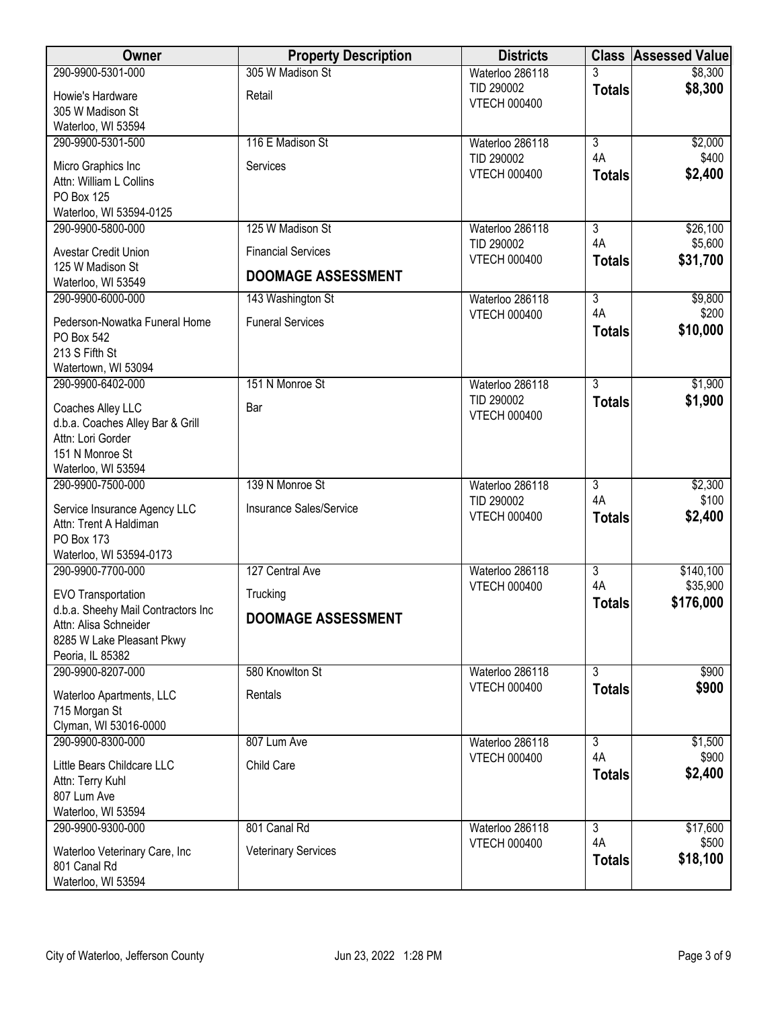| Owner                                                       | <b>Property Description</b> | <b>Districts</b>                  | <b>Class</b>         | <b>Assessed Value</b> |
|-------------------------------------------------------------|-----------------------------|-----------------------------------|----------------------|-----------------------|
| 290-9900-5301-000                                           | 305 W Madison St            | Waterloo 286118                   | 3                    | \$8,300               |
| Howie's Hardware                                            | Retail                      | TID 290002                        | <b>Totals</b>        | \$8,300               |
| 305 W Madison St                                            |                             | <b>VTECH 000400</b>               |                      |                       |
| Waterloo, WI 53594                                          |                             |                                   |                      |                       |
| 290-9900-5301-500                                           | 116 E Madison St            | Waterloo 286118                   | $\overline{3}$       | \$2,000               |
| Micro Graphics Inc                                          | Services                    | TID 290002                        | 4A                   | \$400                 |
| Attn: William L Collins                                     |                             | <b>VTECH 000400</b>               | <b>Totals</b>        | \$2,400               |
| PO Box 125                                                  |                             |                                   |                      |                       |
| Waterloo, WI 53594-0125                                     |                             |                                   |                      |                       |
| 290-9900-5800-000                                           | 125 W Madison St            | Waterloo 286118                   | $\overline{3}$<br>4A | \$26,100              |
| Avestar Credit Union                                        | <b>Financial Services</b>   | TID 290002<br><b>VTECH 000400</b> |                      | \$5,600               |
| 125 W Madison St                                            | <b>DOOMAGE ASSESSMENT</b>   |                                   | <b>Totals</b>        | \$31,700              |
| Waterloo, WI 53549                                          |                             |                                   |                      |                       |
| 290-9900-6000-000                                           | 143 Washington St           | Waterloo 286118                   | $\overline{3}$       | \$9,800               |
| Pederson-Nowatka Funeral Home                               | <b>Funeral Services</b>     | <b>VTECH 000400</b>               | 4A                   | \$200                 |
| PO Box 542                                                  |                             |                                   | <b>Totals</b>        | \$10,000              |
| 213 S Fifth St                                              |                             |                                   |                      |                       |
| Watertown, WI 53094                                         |                             |                                   |                      |                       |
| 290-9900-6402-000                                           | 151 N Monroe St             | Waterloo 286118                   | $\overline{3}$       | \$1,900               |
| Coaches Alley LLC                                           | Bar                         | TID 290002<br><b>VTECH 000400</b> | <b>Totals</b>        | \$1,900               |
| d.b.a. Coaches Alley Bar & Grill                            |                             |                                   |                      |                       |
| Attn: Lori Gorder                                           |                             |                                   |                      |                       |
| 151 N Monroe St                                             |                             |                                   |                      |                       |
| Waterloo, WI 53594<br>290-9900-7500-000                     | 139 N Monroe St             | Waterloo 286118                   | $\overline{3}$       | \$2,300               |
|                                                             |                             | TID 290002                        | 4A                   | \$100                 |
| Service Insurance Agency LLC                                | Insurance Sales/Service     | <b>VTECH 000400</b>               | <b>Totals</b>        | \$2,400               |
| Attn: Trent A Haldiman<br><b>PO Box 173</b>                 |                             |                                   |                      |                       |
| Waterloo, WI 53594-0173                                     |                             |                                   |                      |                       |
| 290-9900-7700-000                                           | 127 Central Ave             | Waterloo 286118                   | $\overline{3}$       | \$140,100             |
|                                                             |                             | <b>VTECH 000400</b>               | 4A                   | \$35,900              |
| EVO Transportation                                          | Trucking                    |                                   | <b>Totals</b>        | \$176,000             |
| d.b.a. Sheehy Mail Contractors Inc<br>Attn: Alisa Schneider | <b>DOOMAGE ASSESSMENT</b>   |                                   |                      |                       |
| 8285 W Lake Pleasant Pkwy                                   |                             |                                   |                      |                       |
| Peoria, IL 85382                                            |                             |                                   |                      |                       |
| 290-9900-8207-000                                           | 580 Knowlton St             | Waterloo 286118                   | $\overline{3}$       | \$900                 |
| Waterloo Apartments, LLC                                    | Rentals                     | <b>VTECH 000400</b>               | <b>Totals</b>        | \$900                 |
| 715 Morgan St                                               |                             |                                   |                      |                       |
| Clyman, WI 53016-0000                                       |                             |                                   |                      |                       |
| 290-9900-8300-000                                           | 807 Lum Ave                 | Waterloo 286118                   | $\overline{3}$       | \$1,500               |
| Little Bears Childcare LLC                                  | Child Care                  | <b>VTECH 000400</b>               | 4A                   | \$900                 |
| Attn: Terry Kuhl                                            |                             |                                   | <b>Totals</b>        | \$2,400               |
| 807 Lum Ave                                                 |                             |                                   |                      |                       |
| Waterloo, WI 53594                                          |                             |                                   |                      |                       |
| 290-9900-9300-000                                           | 801 Canal Rd                | Waterloo 286118                   | $\overline{3}$       | \$17,600              |
| Waterloo Veterinary Care, Inc                               | <b>Veterinary Services</b>  | <b>VTECH 000400</b>               | 4A                   | \$500                 |
| 801 Canal Rd                                                |                             |                                   | <b>Totals</b>        | \$18,100              |
| Waterloo, WI 53594                                          |                             |                                   |                      |                       |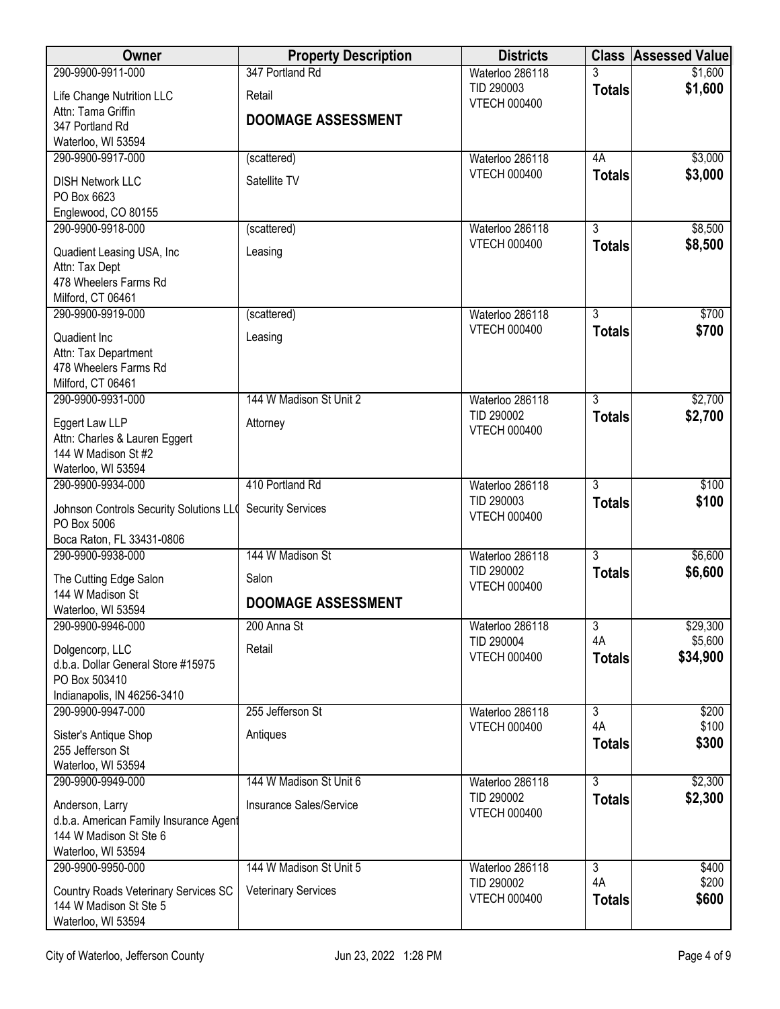| <b>Owner</b>                                                     | <b>Property Description</b> | <b>Districts</b>                  |                                 | <b>Class Assessed Value</b> |
|------------------------------------------------------------------|-----------------------------|-----------------------------------|---------------------------------|-----------------------------|
| 290-9900-9911-000                                                | 347 Portland Rd             | Waterloo 286118                   |                                 | \$1,600                     |
| Life Change Nutrition LLC                                        | Retail                      | TID 290003<br><b>VTECH 000400</b> | <b>Totals</b>                   | \$1,600                     |
| Attn: Tama Griffin                                               | <b>DOOMAGE ASSESSMENT</b>   |                                   |                                 |                             |
| 347 Portland Rd                                                  |                             |                                   |                                 |                             |
| Waterloo, WI 53594<br>290-9900-9917-000                          | (scattered)                 | Waterloo 286118                   | 4A                              | \$3,000                     |
|                                                                  |                             | <b>VTECH 000400</b>               | <b>Totals</b>                   | \$3,000                     |
| <b>DISH Network LLC</b>                                          | Satellite TV                |                                   |                                 |                             |
| PO Box 6623<br>Englewood, CO 80155                               |                             |                                   |                                 |                             |
| 290-9900-9918-000                                                | (scattered)                 | Waterloo 286118                   | $\overline{3}$                  | \$8,500                     |
| Quadient Leasing USA, Inc.                                       | Leasing                     | <b>VTECH 000400</b>               | <b>Totals</b>                   | \$8,500                     |
| Attn: Tax Dept                                                   |                             |                                   |                                 |                             |
| 478 Wheelers Farms Rd                                            |                             |                                   |                                 |                             |
| Milford, CT 06461                                                |                             |                                   |                                 |                             |
| 290-9900-9919-000                                                | (scattered)                 | Waterloo 286118                   | $\overline{3}$                  | \$700                       |
| Quadient Inc                                                     | Leasing                     | <b>VTECH 000400</b>               | <b>Totals</b>                   | \$700                       |
| Attn: Tax Department                                             |                             |                                   |                                 |                             |
| 478 Wheelers Farms Rd<br>Milford, CT 06461                       |                             |                                   |                                 |                             |
| 290-9900-9931-000                                                | 144 W Madison St Unit 2     | Waterloo 286118                   | $\overline{3}$                  | \$2,700                     |
|                                                                  |                             | TID 290002                        | <b>Totals</b>                   | \$2,700                     |
| Eggert Law LLP<br>Attn: Charles & Lauren Eggert                  | Attorney                    | <b>VTECH 000400</b>               |                                 |                             |
| 144 W Madison St #2                                              |                             |                                   |                                 |                             |
| Waterloo, WI 53594                                               |                             |                                   |                                 |                             |
| 290-9900-9934-000                                                | 410 Portland Rd             | Waterloo 286118                   | $\overline{3}$                  | \$100                       |
| Johnson Controls Security Solutions LLO                          | <b>Security Services</b>    | TID 290003<br><b>VTECH 000400</b> | <b>Totals</b>                   | \$100                       |
| PO Box 5006                                                      |                             |                                   |                                 |                             |
| Boca Raton, FL 33431-0806                                        | 144 W Madison St            |                                   |                                 |                             |
| 290-9900-9938-000                                                |                             | Waterloo 286118<br>TID 290002     | $\overline{3}$<br><b>Totals</b> | \$6,600<br>\$6,600          |
| The Cutting Edge Salon                                           | Salon                       | <b>VTECH 000400</b>               |                                 |                             |
| 144 W Madison St<br>Waterloo, WI 53594                           | <b>DOOMAGE ASSESSMENT</b>   |                                   |                                 |                             |
| 290-9900-9946-000                                                | 200 Anna St                 | Waterloo 286118                   | 3                               | \$29,300                    |
| Dolgencorp, LLC                                                  | Retail                      | TID 290004                        | 4A                              | \$5,600                     |
| d.b.a. Dollar General Store #15975                               |                             | <b>VTECH 000400</b>               | <b>Totals</b>                   | \$34,900                    |
| PO Box 503410                                                    |                             |                                   |                                 |                             |
| Indianapolis, IN 46256-3410                                      |                             |                                   |                                 |                             |
| 290-9900-9947-000                                                | 255 Jefferson St            | Waterloo 286118                   | $\overline{3}$                  | \$200                       |
| Sister's Antique Shop                                            | Antiques                    | <b>VTECH 000400</b>               | 4A                              | \$100<br>\$300              |
| 255 Jefferson St                                                 |                             |                                   | <b>Totals</b>                   |                             |
| Waterloo, WI 53594                                               |                             |                                   |                                 |                             |
| 290-9900-9949-000                                                | 144 W Madison St Unit 6     | Waterloo 286118<br>TID 290002     | $\overline{3}$<br><b>Totals</b> | \$2,300<br>\$2,300          |
| Anderson, Larry                                                  | Insurance Sales/Service     | <b>VTECH 000400</b>               |                                 |                             |
| d.b.a. American Family Insurance Agent<br>144 W Madison St Ste 6 |                             |                                   |                                 |                             |
| Waterloo, WI 53594                                               |                             |                                   |                                 |                             |
| 290-9900-9950-000                                                | 144 W Madison St Unit 5     | Waterloo 286118                   | $\overline{3}$                  | \$400                       |
| Country Roads Veterinary Services SC                             | <b>Veterinary Services</b>  | TID 290002                        | 4A                              | \$200                       |
| 144 W Madison St Ste 5                                           |                             | <b>VTECH 000400</b>               | <b>Totals</b>                   | \$600                       |
| Waterloo, WI 53594                                               |                             |                                   |                                 |                             |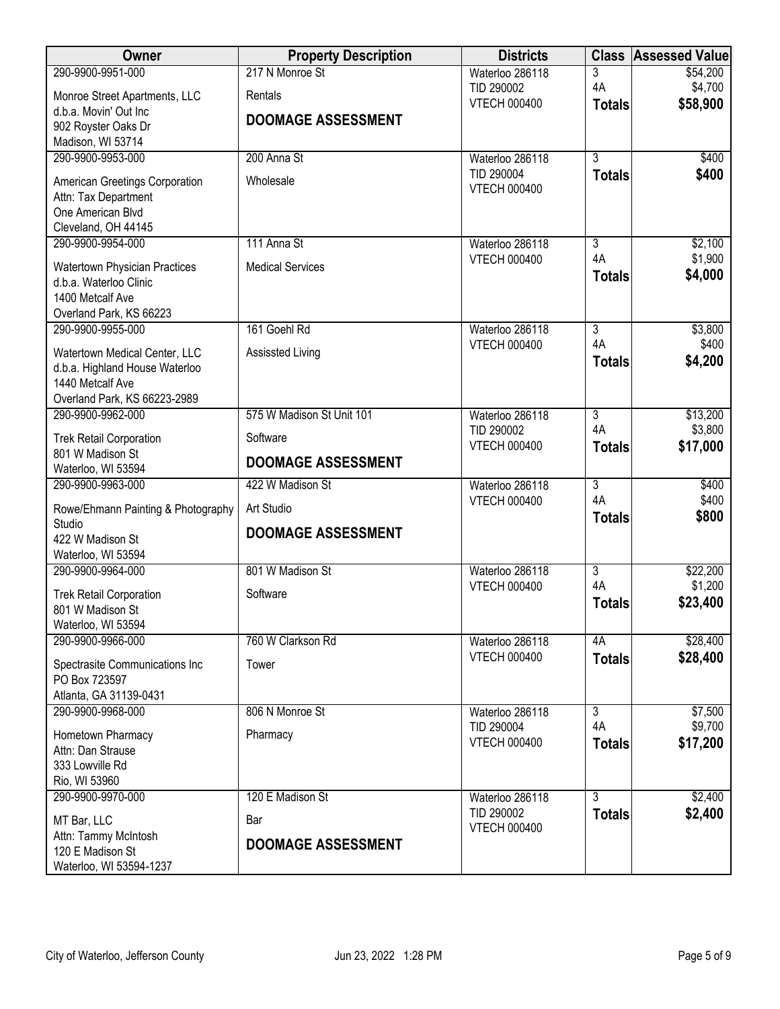| Owner                                              | <b>Property Description</b> | <b>Districts</b>              |                | <b>Class Assessed Value</b> |
|----------------------------------------------------|-----------------------------|-------------------------------|----------------|-----------------------------|
| 290-9900-9951-000                                  | 217 N Monroe St             | Waterloo 286118               | 3              | \$54,200                    |
| Monroe Street Apartments, LLC                      | Rentals                     | TID 290002                    | 4A             | \$4,700                     |
| d.b.a. Movin' Out Inc                              |                             | <b>VTECH 000400</b>           | <b>Totals</b>  | \$58,900                    |
| 902 Royster Oaks Dr                                | <b>DOOMAGE ASSESSMENT</b>   |                               |                |                             |
| Madison, WI 53714                                  |                             |                               |                |                             |
| 290-9900-9953-000                                  | 200 Anna St                 | Waterloo 286118               | $\overline{3}$ | \$400                       |
| American Greetings Corporation                     | Wholesale                   | TID 290004                    | <b>Totals</b>  | \$400                       |
| Attn: Tax Department                               |                             | <b>VTECH 000400</b>           |                |                             |
| One American Blvd                                  |                             |                               |                |                             |
| Cleveland, OH 44145                                |                             |                               |                |                             |
| 290-9900-9954-000                                  | 111 Anna St                 | Waterloo 286118               | 3              | \$2,100                     |
| <b>Watertown Physician Practices</b>               | <b>Medical Services</b>     | <b>VTECH 000400</b>           | 4A             | \$1,900                     |
| d.b.a. Waterloo Clinic                             |                             |                               | <b>Totals</b>  | \$4,000                     |
| 1400 Metcalf Ave                                   |                             |                               |                |                             |
| Overland Park, KS 66223                            |                             |                               |                |                             |
| 290-9900-9955-000                                  | 161 Goehl Rd                | Waterloo 286118               | $\overline{3}$ | \$3,800                     |
| Watertown Medical Center, LLC                      | Assissted Living            | <b>VTECH 000400</b>           | 4A             | \$400                       |
| d.b.a. Highland House Waterloo                     |                             |                               | <b>Totals</b>  | \$4,200                     |
| 1440 Metcalf Ave                                   |                             |                               |                |                             |
| Overland Park, KS 66223-2989                       |                             |                               |                |                             |
| 290-9900-9962-000                                  | 575 W Madison St Unit 101   | Waterloo 286118               | $\overline{3}$ | \$13,200                    |
|                                                    | Software                    | TID 290002                    | 4A             | \$3,800                     |
| <b>Trek Retail Corporation</b><br>801 W Madison St |                             | <b>VTECH 000400</b>           | <b>Totals</b>  | \$17,000                    |
| Waterloo, WI 53594                                 | <b>DOOMAGE ASSESSMENT</b>   |                               |                |                             |
| 290-9900-9963-000                                  | 422 W Madison St            | Waterloo 286118               | $\overline{3}$ | \$400                       |
|                                                    |                             | <b>VTECH 000400</b>           | 4A             | \$400                       |
| Rowe/Ehmann Painting & Photography<br>Studio       | Art Studio                  |                               | <b>Totals</b>  | \$800                       |
| 422 W Madison St                                   | <b>DOOMAGE ASSESSMENT</b>   |                               |                |                             |
| Waterloo, WI 53594                                 |                             |                               |                |                             |
| 290-9900-9964-000                                  | 801 W Madison St            | Waterloo 286118               | $\overline{3}$ | \$22,200                    |
|                                                    |                             | <b>VTECH 000400</b>           | 4A             | \$1,200                     |
| <b>Trek Retail Corporation</b><br>801 W Madison St | Software                    |                               | <b>Totals</b>  | \$23,400                    |
| Waterloo, WI 53594                                 |                             |                               |                |                             |
| 290-9900-9966-000                                  | 760 W Clarkson Rd           | Waterloo 286118               | 4A             | \$28,400                    |
|                                                    |                             | <b>VTECH 000400</b>           | <b>Totals</b>  | \$28,400                    |
| Spectrasite Communications Inc                     | Tower                       |                               |                |                             |
| PO Box 723597                                      |                             |                               |                |                             |
| Atlanta, GA 31139-0431                             | 806 N Monroe St             |                               | $\overline{3}$ |                             |
| 290-9900-9968-000                                  |                             | Waterloo 286118<br>TID 290004 | 4A             | \$7,500<br>\$9,700          |
| Hometown Pharmacy                                  | Pharmacy                    | <b>VTECH 000400</b>           | <b>Totals</b>  | \$17,200                    |
| Attn: Dan Strause                                  |                             |                               |                |                             |
| 333 Lowville Rd                                    |                             |                               |                |                             |
| Rio, WI 53960                                      |                             |                               |                |                             |
| 290-9900-9970-000                                  | 120 E Madison St            | Waterloo 286118<br>TID 290002 | $\overline{3}$ | \$2,400                     |
| MT Bar, LLC                                        | Bar                         | <b>VTECH 000400</b>           | <b>Totals</b>  | \$2,400                     |
| Attn: Tammy McIntosh                               | <b>DOOMAGE ASSESSMENT</b>   |                               |                |                             |
| 120 E Madison St                                   |                             |                               |                |                             |
| Waterloo, WI 53594-1237                            |                             |                               |                |                             |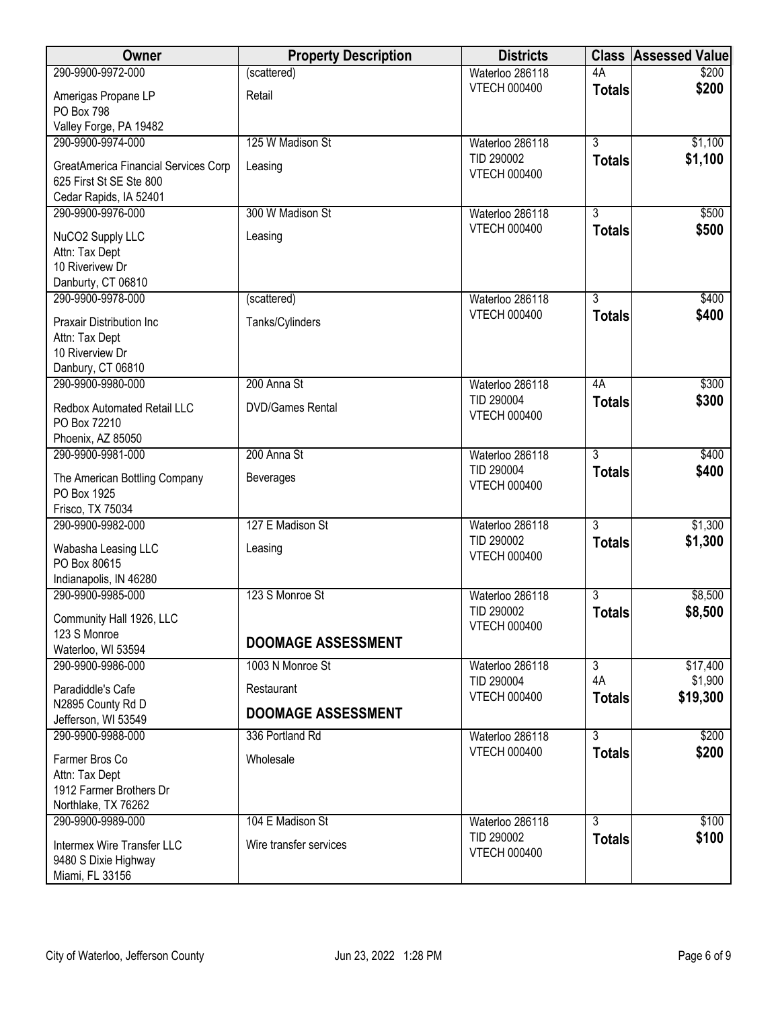| Owner                                  | <b>Property Description</b> | <b>Districts</b>                       | <b>Class</b>   | <b>Assessed Value</b> |
|----------------------------------------|-----------------------------|----------------------------------------|----------------|-----------------------|
| 290-9900-9972-000                      | (scattered)                 | Waterloo 286118                        | 4A             | \$200                 |
| Amerigas Propane LP                    | Retail                      | <b>VTECH 000400</b>                    | <b>Totals</b>  | \$200                 |
| <b>PO Box 798</b>                      |                             |                                        |                |                       |
| Valley Forge, PA 19482                 |                             |                                        |                |                       |
| 290-9900-9974-000                      | 125 W Madison St            | Waterloo 286118<br>TID 290002          | $\overline{3}$ | \$1,100               |
| GreatAmerica Financial Services Corp   | Leasing                     | <b>VTECH 000400</b>                    | <b>Totals</b>  | \$1,100               |
| 625 First St SE Ste 800                |                             |                                        |                |                       |
| Cedar Rapids, IA 52401                 |                             |                                        |                |                       |
| 290-9900-9976-000                      | 300 W Madison St            | Waterloo 286118<br><b>VTECH 000400</b> | $\overline{3}$ | \$500                 |
| NuCO2 Supply LLC                       | Leasing                     |                                        | <b>Totals</b>  | \$500                 |
| Attn: Tax Dept                         |                             |                                        |                |                       |
| 10 Riverivew Dr                        |                             |                                        |                |                       |
| Danburty, CT 06810                     |                             |                                        |                |                       |
| 290-9900-9978-000                      | (scattered)                 | Waterloo 286118<br><b>VTECH 000400</b> | $\overline{3}$ | \$400                 |
| Praxair Distribution Inc               | Tanks/Cylinders             |                                        | <b>Totals</b>  | \$400                 |
| Attn: Tax Dept                         |                             |                                        |                |                       |
| 10 Riverview Dr                        |                             |                                        |                |                       |
| Danbury, CT 06810<br>290-9900-9980-000 | 200 Anna St                 |                                        | 4A             | \$300                 |
|                                        |                             | Waterloo 286118<br>TID 290004          | <b>Totals</b>  | \$300                 |
| Redbox Automated Retail LLC            | <b>DVD/Games Rental</b>     | <b>VTECH 000400</b>                    |                |                       |
| PO Box 72210                           |                             |                                        |                |                       |
| Phoenix, AZ 85050                      |                             |                                        |                |                       |
| 290-9900-9981-000                      | 200 Anna St                 | Waterloo 286118<br>TID 290004          | $\overline{3}$ | \$400                 |
| The American Bottling Company          | <b>Beverages</b>            | <b>VTECH 000400</b>                    | <b>Totals</b>  | \$400                 |
| PO Box 1925                            |                             |                                        |                |                       |
| Frisco, TX 75034                       |                             |                                        |                |                       |
| 290-9900-9982-000                      | 127 E Madison St            | Waterloo 286118                        | $\overline{3}$ | \$1,300               |
| Wabasha Leasing LLC                    | Leasing                     | TID 290002<br><b>VTECH 000400</b>      | <b>Totals</b>  | \$1,300               |
| PO Box 80615                           |                             |                                        |                |                       |
| Indianapolis, IN 46280                 |                             |                                        |                |                       |
| 290-9900-9985-000                      | 123 S Monroe St             | Waterloo 286118                        | 3              | \$8,500               |
| Community Hall 1926, LLC               |                             | TID 290002                             | <b>Totals</b>  | \$8,500               |
| 123 S Monroe                           |                             | <b>VTECH 000400</b>                    |                |                       |
| Waterloo, WI 53594                     | <b>DOOMAGE ASSESSMENT</b>   |                                        |                |                       |
| 290-9900-9986-000                      | 1003 N Monroe St            | Waterloo 286118                        | $\overline{3}$ | \$17,400              |
| Paradiddle's Cafe                      | Restaurant                  | TID 290004                             | 4A             | \$1,900               |
| N2895 County Rd D                      | <b>DOOMAGE ASSESSMENT</b>   | <b>VTECH 000400</b>                    | <b>Totals</b>  | \$19,300              |
| Jefferson, WI 53549                    |                             |                                        |                |                       |
| 290-9900-9988-000                      | 336 Portland Rd             | Waterloo 286118                        | $\overline{3}$ | \$200                 |
| Farmer Bros Co                         | Wholesale                   | <b>VTECH 000400</b>                    | <b>Totals</b>  | \$200                 |
| Attn: Tax Dept                         |                             |                                        |                |                       |
| 1912 Farmer Brothers Dr                |                             |                                        |                |                       |
| Northlake, TX 76262                    |                             |                                        |                |                       |
| 290-9900-9989-000                      | 104 E Madison St            | Waterloo 286118                        | $\overline{3}$ | \$100                 |
| Intermex Wire Transfer LLC             | Wire transfer services      | TID 290002                             | <b>Totals</b>  | \$100                 |
| 9480 S Dixie Highway                   |                             | <b>VTECH 000400</b>                    |                |                       |
| Miami, FL 33156                        |                             |                                        |                |                       |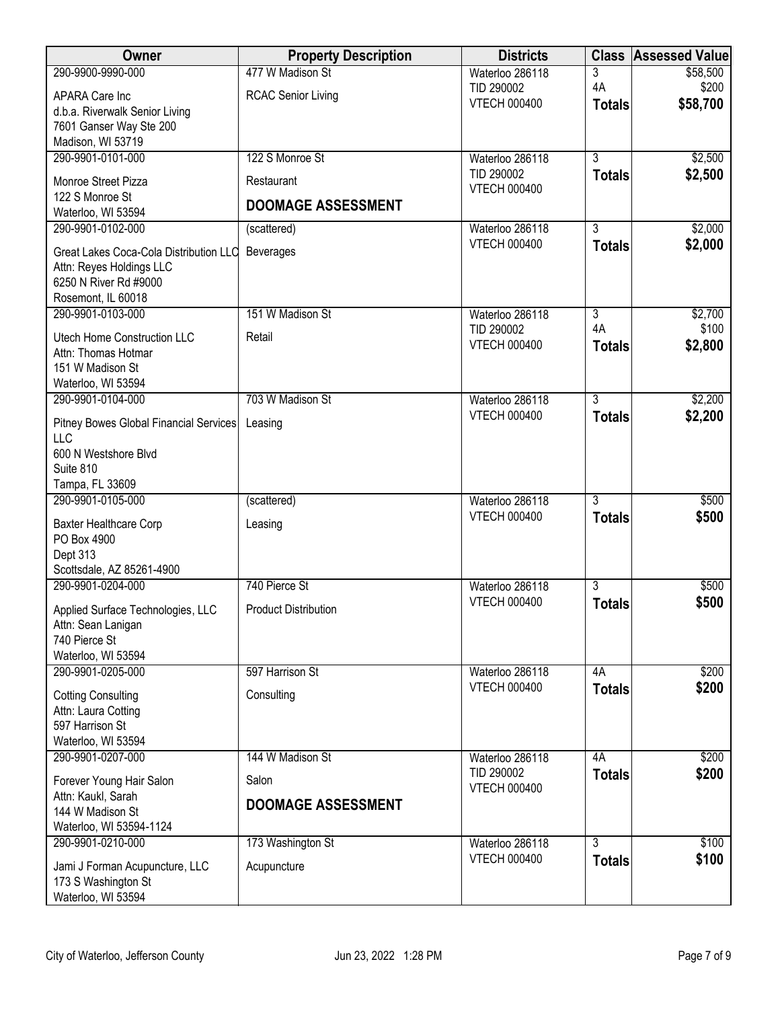| <b>Owner</b>                                          | <b>Property Description</b> | <b>Districts</b>                       | <b>Class</b>                    | <b>Assessed Value</b> |
|-------------------------------------------------------|-----------------------------|----------------------------------------|---------------------------------|-----------------------|
| 290-9900-9990-000                                     | 477 W Madison St            | Waterloo 286118                        | 3                               | \$58,500              |
| APARA Care Inc                                        | <b>RCAC Senior Living</b>   | TID 290002<br><b>VTECH 000400</b>      | 4A<br><b>Totals</b>             | \$200<br>\$58,700     |
| d.b.a. Riverwalk Senior Living                        |                             |                                        |                                 |                       |
| 7601 Ganser Way Ste 200<br>Madison, WI 53719          |                             |                                        |                                 |                       |
| 290-9901-0101-000                                     | 122 S Monroe St             | Waterloo 286118                        | $\overline{3}$                  | \$2,500               |
| Monroe Street Pizza                                   | Restaurant                  | TID 290002                             | <b>Totals</b>                   | \$2,500               |
| 122 S Monroe St                                       |                             | <b>VTECH 000400</b>                    |                                 |                       |
| Waterloo, WI 53594                                    | <b>DOOMAGE ASSESSMENT</b>   |                                        |                                 |                       |
| 290-9901-0102-000                                     | (scattered)                 | Waterloo 286118<br><b>VTECH 000400</b> | $\overline{3}$                  | \$2,000<br>\$2,000    |
| Great Lakes Coca-Cola Distribution LLC                | Beverages                   |                                        | <b>Totals</b>                   |                       |
| Attn: Reyes Holdings LLC<br>6250 N River Rd #9000     |                             |                                        |                                 |                       |
| Rosemont, IL 60018                                    |                             |                                        |                                 |                       |
| 290-9901-0103-000                                     | 151 W Madison St            | Waterloo 286118                        | $\overline{3}$                  | \$2,700               |
| Utech Home Construction LLC                           | Retail                      | TID 290002                             | 4A                              | \$100                 |
| Attn: Thomas Hotmar                                   |                             | <b>VTECH 000400</b>                    | <b>Totals</b>                   | \$2,800               |
| 151 W Madison St<br>Waterloo, WI 53594                |                             |                                        |                                 |                       |
| 290-9901-0104-000                                     | 703 W Madison St            | Waterloo 286118                        | $\overline{3}$                  | \$2,200               |
|                                                       | Leasing                     | <b>VTECH 000400</b>                    | <b>Totals</b>                   | \$2,200               |
| Pitney Bowes Global Financial Services<br><b>LLC</b>  |                             |                                        |                                 |                       |
| 600 N Westshore Blvd                                  |                             |                                        |                                 |                       |
| Suite 810                                             |                             |                                        |                                 |                       |
| Tampa, FL 33609<br>290-9901-0105-000                  | (scattered)                 | Waterloo 286118                        | $\overline{3}$                  | \$500                 |
|                                                       |                             | <b>VTECH 000400</b>                    | <b>Totals</b>                   | \$500                 |
| Baxter Healthcare Corp<br>PO Box 4900                 | Leasing                     |                                        |                                 |                       |
| Dept 313                                              |                             |                                        |                                 |                       |
| Scottsdale, AZ 85261-4900                             |                             |                                        |                                 |                       |
| 290-9901-0204-000                                     | 740 Pierce St               | Waterloo 286118<br><b>VTECH 000400</b> | $\overline{3}$<br><b>Totals</b> | \$500<br>\$500        |
| Applied Surface Technologies, LLC                     | <b>Product Distribution</b> |                                        |                                 |                       |
| Attn: Sean Lanigan<br>740 Pierce St                   |                             |                                        |                                 |                       |
| Waterloo, WI 53594                                    |                             |                                        |                                 |                       |
| 290-9901-0205-000                                     | 597 Harrison St             | Waterloo 286118                        | 4A                              | \$200                 |
| <b>Cotting Consulting</b>                             | Consulting                  | <b>VTECH 000400</b>                    | <b>Totals</b>                   | \$200                 |
| Attn: Laura Cotting                                   |                             |                                        |                                 |                       |
| 597 Harrison St<br>Waterloo, WI 53594                 |                             |                                        |                                 |                       |
| 290-9901-0207-000                                     | 144 W Madison St            | Waterloo 286118                        | 4A                              | \$200                 |
| Forever Young Hair Salon                              | Salon                       | TID 290002                             | <b>Totals</b>                   | \$200                 |
| Attn: Kaukl, Sarah                                    |                             | <b>VTECH 000400</b>                    |                                 |                       |
| 144 W Madison St                                      | <b>DOOMAGE ASSESSMENT</b>   |                                        |                                 |                       |
| Waterloo, WI 53594-1124<br>290-9901-0210-000          | 173 Washington St           | Waterloo 286118                        | $\overline{3}$                  | \$100                 |
|                                                       |                             | <b>VTECH 000400</b>                    | <b>Totals</b>                   | \$100                 |
| Jami J Forman Acupuncture, LLC<br>173 S Washington St | Acupuncture                 |                                        |                                 |                       |
| Waterloo, WI 53594                                    |                             |                                        |                                 |                       |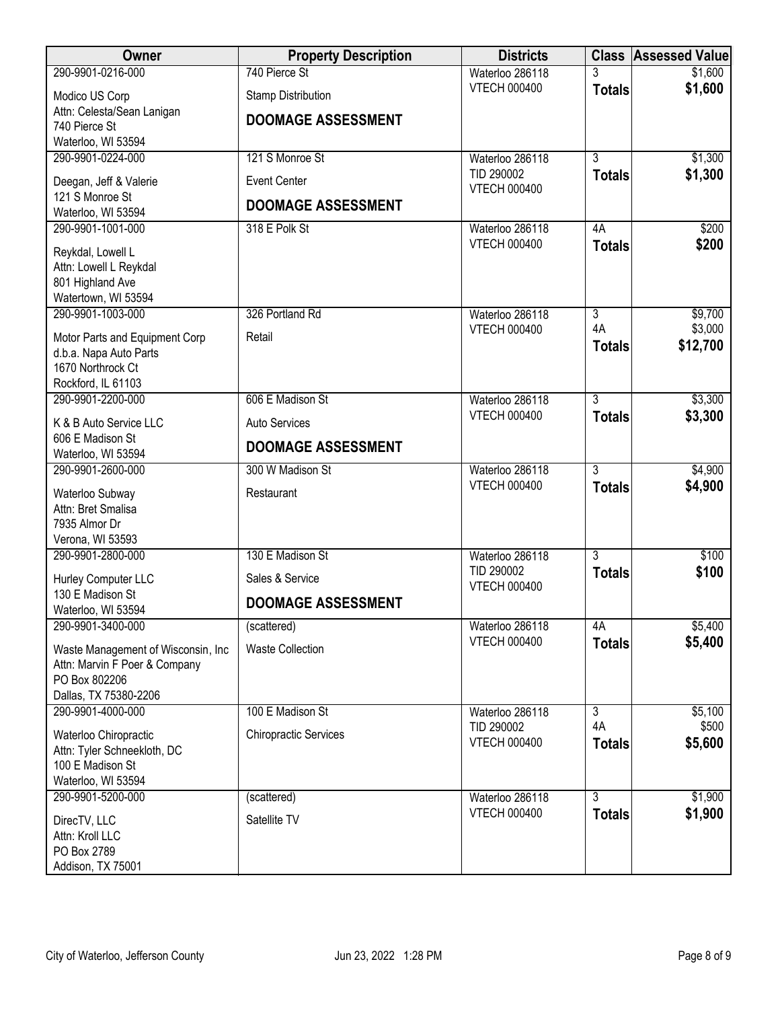| Owner                                                               | <b>Property Description</b>  | <b>Districts</b>    |                | <b>Class Assessed Value</b> |
|---------------------------------------------------------------------|------------------------------|---------------------|----------------|-----------------------------|
| 290-9901-0216-000                                                   | 740 Pierce St                | Waterloo 286118     |                | \$1,600                     |
| Modico US Corp                                                      | <b>Stamp Distribution</b>    | <b>VTECH 000400</b> | <b>Totals</b>  | \$1,600                     |
| Attn: Celesta/Sean Lanigan                                          |                              |                     |                |                             |
| 740 Pierce St                                                       | <b>DOOMAGE ASSESSMENT</b>    |                     |                |                             |
| Waterloo, WI 53594                                                  |                              |                     |                |                             |
| 290-9901-0224-000                                                   | 121 S Monroe St              | Waterloo 286118     | $\overline{3}$ | \$1,300                     |
| Deegan, Jeff & Valerie                                              | <b>Event Center</b>          | TID 290002          | <b>Totals</b>  | \$1,300                     |
| 121 S Monroe St                                                     |                              | <b>VTECH 000400</b> |                |                             |
| Waterloo, WI 53594                                                  | <b>DOOMAGE ASSESSMENT</b>    |                     |                |                             |
| 290-9901-1001-000                                                   | 318 E Polk St                | Waterloo 286118     | 4A             | \$200                       |
|                                                                     |                              | <b>VTECH 000400</b> | <b>Totals</b>  | \$200                       |
| Reykdal, Lowell L                                                   |                              |                     |                |                             |
| Attn: Lowell L Reykdal<br>801 Highland Ave                          |                              |                     |                |                             |
| Watertown, WI 53594                                                 |                              |                     |                |                             |
| 290-9901-1003-000                                                   | 326 Portland Rd              | Waterloo 286118     | $\overline{3}$ | \$9,700                     |
|                                                                     |                              | <b>VTECH 000400</b> | 4A             | \$3,000                     |
| Motor Parts and Equipment Corp                                      | Retail                       |                     | <b>Totals</b>  | \$12,700                    |
| d.b.a. Napa Auto Parts                                              |                              |                     |                |                             |
| 1670 Northrock Ct<br>Rockford, IL 61103                             |                              |                     |                |                             |
| 290-9901-2200-000                                                   | 606 E Madison St             | Waterloo 286118     | $\overline{3}$ | \$3,300                     |
|                                                                     |                              | <b>VTECH 000400</b> |                | \$3,300                     |
| K & B Auto Service LLC                                              | Auto Services                |                     | <b>Totals</b>  |                             |
| 606 E Madison St                                                    | <b>DOOMAGE ASSESSMENT</b>    |                     |                |                             |
| Waterloo, WI 53594                                                  |                              |                     |                |                             |
| 290-9901-2600-000                                                   | 300 W Madison St             | Waterloo 286118     | $\overline{3}$ | \$4,900                     |
| Waterloo Subway                                                     | Restaurant                   | <b>VTECH 000400</b> | <b>Totals</b>  | \$4,900                     |
| Attn: Bret Smalisa                                                  |                              |                     |                |                             |
| 7935 Almor Dr                                                       |                              |                     |                |                             |
| Verona, WI 53593                                                    |                              |                     |                |                             |
| 290-9901-2800-000                                                   | 130 E Madison St             | Waterloo 286118     | $\overline{3}$ | \$100                       |
| Hurley Computer LLC                                                 | Sales & Service              | TID 290002          | <b>Totals</b>  | \$100                       |
| 130 E Madison St                                                    |                              | <b>VTECH 000400</b> |                |                             |
| Waterloo, WI 53594                                                  | <b>DOOMAGE ASSESSMENT</b>    |                     |                |                             |
| 290-9901-3400-000                                                   | (scattered)                  | Waterloo 286118     | 4A             | \$5,400                     |
|                                                                     | <b>Waste Collection</b>      | <b>VTECH 000400</b> | <b>Totals</b>  | \$5,400                     |
| Waste Management of Wisconsin, Inc<br>Attn: Marvin F Poer & Company |                              |                     |                |                             |
| PO Box 802206                                                       |                              |                     |                |                             |
| Dallas, TX 75380-2206                                               |                              |                     |                |                             |
| 290-9901-4000-000                                                   | 100 E Madison St             | Waterloo 286118     | 3              | \$5,100                     |
|                                                                     |                              | TID 290002          | 4A             | \$500                       |
| Waterloo Chiropractic                                               | <b>Chiropractic Services</b> | <b>VTECH 000400</b> | <b>Totals</b>  | \$5,600                     |
| Attn: Tyler Schneekloth, DC<br>100 E Madison St                     |                              |                     |                |                             |
| Waterloo, WI 53594                                                  |                              |                     |                |                             |
| 290-9901-5200-000                                                   | (scattered)                  | Waterloo 286118     | $\overline{3}$ | \$1,900                     |
|                                                                     |                              | <b>VTECH 000400</b> | <b>Totals</b>  | \$1,900                     |
| DirecTV, LLC                                                        | Satellite TV                 |                     |                |                             |
| Attn: Kroll LLC                                                     |                              |                     |                |                             |
| PO Box 2789                                                         |                              |                     |                |                             |
| Addison, TX 75001                                                   |                              |                     |                |                             |